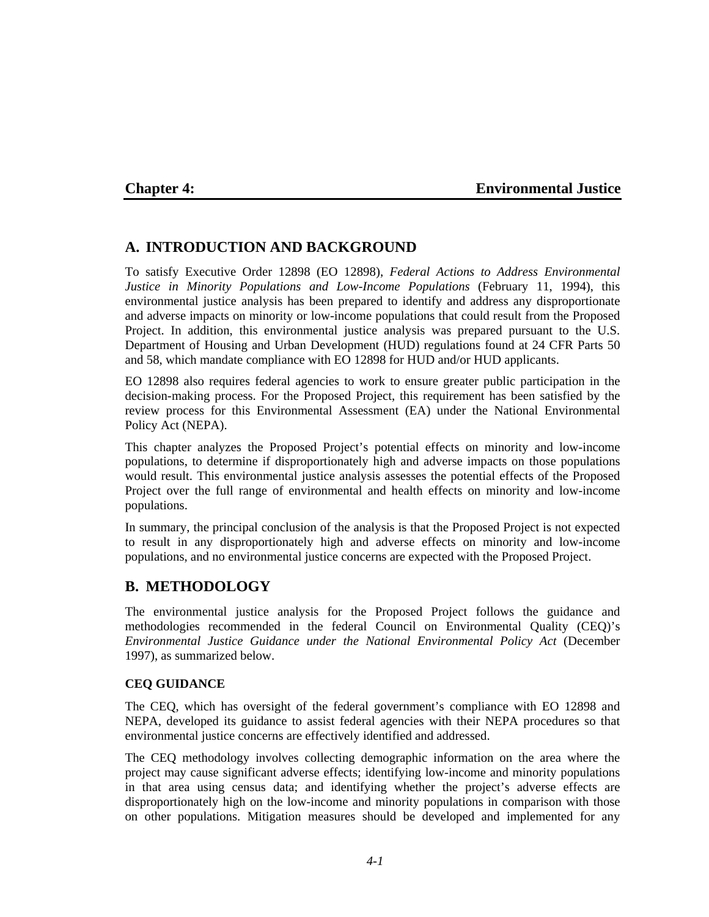## **Chapter 4: Environmental Justice**

## **A. INTRODUCTION AND BACKGROUND**

To satisfy Executive Order 12898 (EO 12898), *Federal Actions to Address Environmental Justice in Minority Populations and Low-Income Populations* (February 11, 1994), this environmental justice analysis has been prepared to identify and address any disproportionate and adverse impacts on minority or low-income populations that could result from the Proposed Project. In addition, this environmental justice analysis was prepared pursuant to the U.S. Department of Housing and Urban Development (HUD) regulations found at 24 CFR Parts 50 and 58, which mandate compliance with EO 12898 for HUD and/or HUD applicants.

EO 12898 also requires federal agencies to work to ensure greater public participation in the decision-making process. For the Proposed Project, this requirement has been satisfied by the review process for this Environmental Assessment (EA) under the National Environmental Policy Act (NEPA).

This chapter analyzes the Proposed Project's potential effects on minority and low-income populations, to determine if disproportionately high and adverse impacts on those populations would result. This environmental justice analysis assesses the potential effects of the Proposed Project over the full range of environmental and health effects on minority and low-income populations.

In summary, the principal conclusion of the analysis is that the Proposed Project is not expected to result in any disproportionately high and adverse effects on minority and low-income populations, and no environmental justice concerns are expected with the Proposed Project.

## **B. METHODOLOGY**

The environmental justice analysis for the Proposed Project follows the guidance and methodologies recommended in the federal Council on Environmental Quality (CEQ)'s *Environmental Justice Guidance under the National Environmental Policy Act* (December 1997), as summarized below.

### **CEQ GUIDANCE**

The CEQ, which has oversight of the federal government's compliance with EO 12898 and NEPA, developed its guidance to assist federal agencies with their NEPA procedures so that environmental justice concerns are effectively identified and addressed.

The CEQ methodology involves collecting demographic information on the area where the project may cause significant adverse effects; identifying low-income and minority populations in that area using census data; and identifying whether the project's adverse effects are disproportionately high on the low-income and minority populations in comparison with those on other populations. Mitigation measures should be developed and implemented for any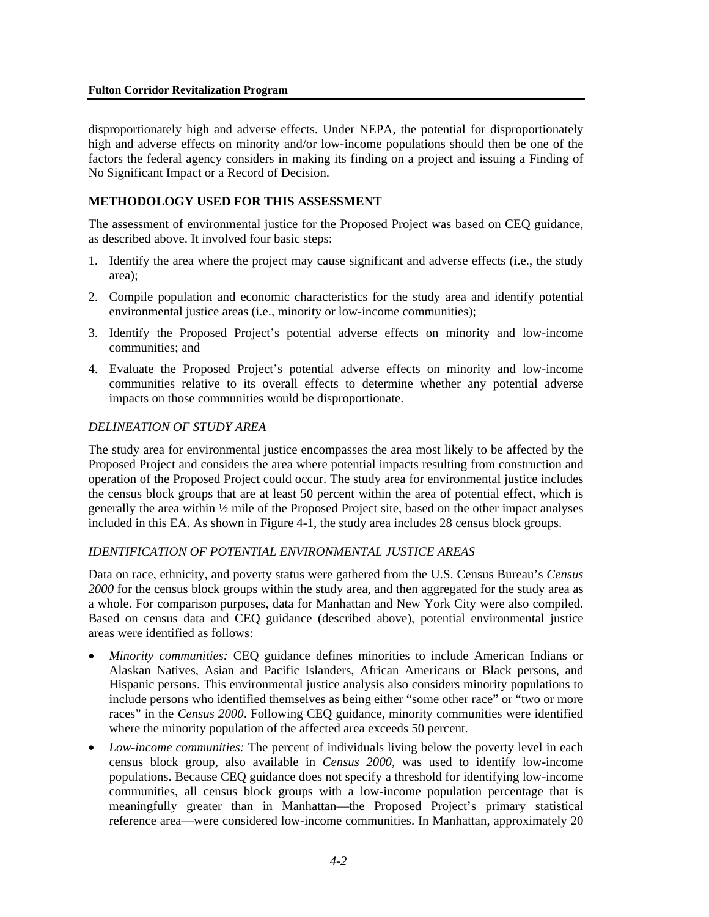#### **Fulton Corridor Revitalization Program**

disproportionately high and adverse effects. Under NEPA, the potential for disproportionately high and adverse effects on minority and/or low-income populations should then be one of the factors the federal agency considers in making its finding on a project and issuing a Finding of No Significant Impact or a Record of Decision.

## **METHODOLOGY USED FOR THIS ASSESSMENT**

The assessment of environmental justice for the Proposed Project was based on CEQ guidance, as described above. It involved four basic steps:

- 1. Identify the area where the project may cause significant and adverse effects (i.e., the study area);
- 2. Compile population and economic characteristics for the study area and identify potential environmental justice areas (i.e., minority or low-income communities);
- 3. Identify the Proposed Project's potential adverse effects on minority and low-income communities; and
- 4. Evaluate the Proposed Project's potential adverse effects on minority and low-income communities relative to its overall effects to determine whether any potential adverse impacts on those communities would be disproportionate.

### *DELINEATION OF STUDY AREA*

The study area for environmental justice encompasses the area most likely to be affected by the Proposed Project and considers the area where potential impacts resulting from construction and operation of the Proposed Project could occur. The study area for environmental justice includes the census block groups that are at least 50 percent within the area of potential effect, which is generally the area within ½ mile of the Proposed Project site, based on the other impact analyses included in this EA. As shown in Figure 4-1, the study area includes 28 census block groups.

### *IDENTIFICATION OF POTENTIAL ENVIRONMENTAL JUSTICE AREAS*

Data on race, ethnicity, and poverty status were gathered from the U.S. Census Bureau's *Census 2000* for the census block groups within the study area, and then aggregated for the study area as a whole. For comparison purposes, data for Manhattan and New York City were also compiled. Based on census data and CEQ guidance (described above), potential environmental justice areas were identified as follows:

- *Minority communities:* CEQ guidance defines minorities to include American Indians or Alaskan Natives, Asian and Pacific Islanders, African Americans or Black persons, and Hispanic persons. This environmental justice analysis also considers minority populations to include persons who identified themselves as being either "some other race" or "two or more races" in the *Census 2000*. Following CEQ guidance, minority communities were identified where the minority population of the affected area exceeds 50 percent.
- *Low-income communities:* The percent of individuals living below the poverty level in each census block group, also available in *Census 2000*, was used to identify low-income populations. Because CEQ guidance does not specify a threshold for identifying low-income communities, all census block groups with a low-income population percentage that is meaningfully greater than in Manhattan—the Proposed Project's primary statistical reference area—were considered low-income communities. In Manhattan, approximately 20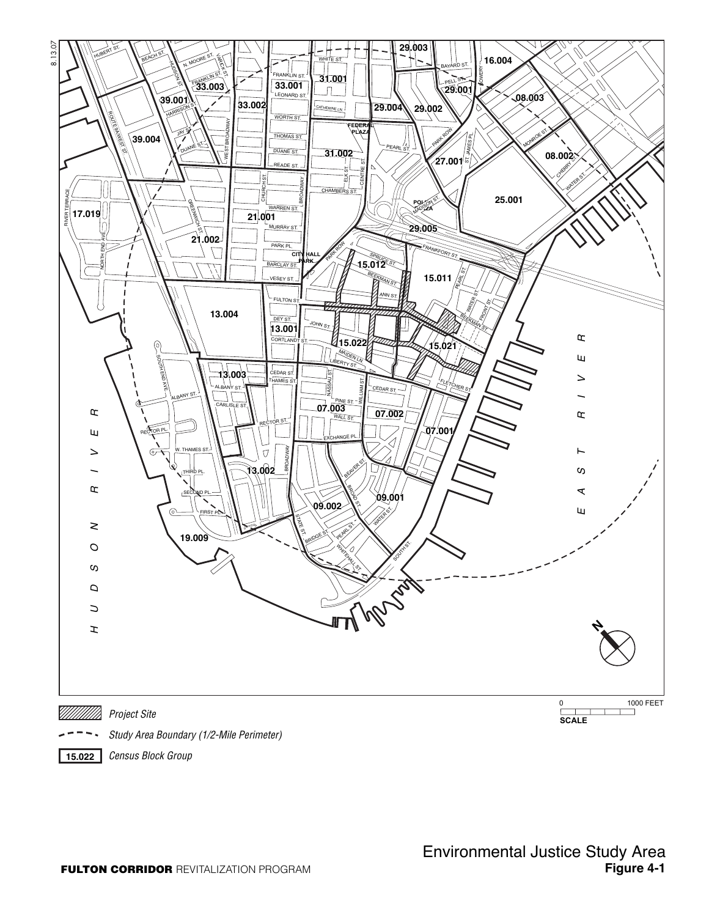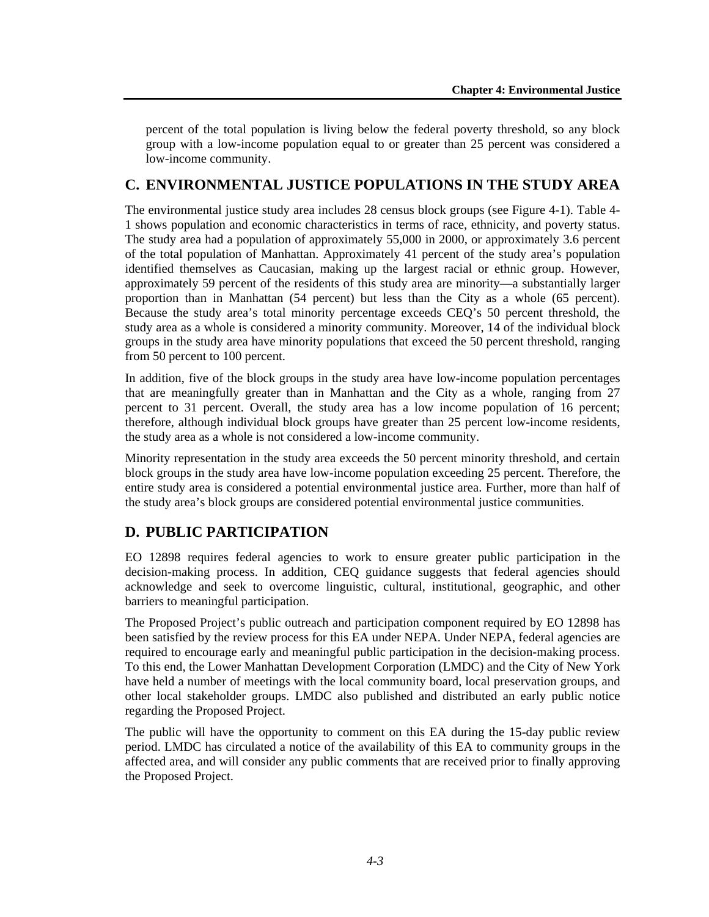percent of the total population is living below the federal poverty threshold, so any block group with a low-income population equal to or greater than 25 percent was considered a low-income community.

## **C. ENVIRONMENTAL JUSTICE POPULATIONS IN THE STUDY AREA**

The environmental justice study area includes 28 census block groups (see Figure 4-1). Table 4- 1 shows population and economic characteristics in terms of race, ethnicity, and poverty status. The study area had a population of approximately 55,000 in 2000, or approximately 3.6 percent of the total population of Manhattan. Approximately 41 percent of the study area's population identified themselves as Caucasian, making up the largest racial or ethnic group. However, approximately 59 percent of the residents of this study area are minority—a substantially larger proportion than in Manhattan (54 percent) but less than the City as a whole (65 percent). Because the study area's total minority percentage exceeds CEQ's 50 percent threshold, the study area as a whole is considered a minority community. Moreover, 14 of the individual block groups in the study area have minority populations that exceed the 50 percent threshold, ranging from 50 percent to 100 percent.

In addition, five of the block groups in the study area have low-income population percentages that are meaningfully greater than in Manhattan and the City as a whole, ranging from 27 percent to 31 percent. Overall, the study area has a low income population of 16 percent; therefore, although individual block groups have greater than 25 percent low-income residents, the study area as a whole is not considered a low-income community.

Minority representation in the study area exceeds the 50 percent minority threshold, and certain block groups in the study area have low-income population exceeding 25 percent. Therefore, the entire study area is considered a potential environmental justice area. Further, more than half of the study area's block groups are considered potential environmental justice communities.

# **D. PUBLIC PARTICIPATION**

EO 12898 requires federal agencies to work to ensure greater public participation in the decision-making process. In addition, CEQ guidance suggests that federal agencies should acknowledge and seek to overcome linguistic, cultural, institutional, geographic, and other barriers to meaningful participation.

The Proposed Project's public outreach and participation component required by EO 12898 has been satisfied by the review process for this EA under NEPA. Under NEPA, federal agencies are required to encourage early and meaningful public participation in the decision-making process. To this end, the Lower Manhattan Development Corporation (LMDC) and the City of New York have held a number of meetings with the local community board, local preservation groups, and other local stakeholder groups. LMDC also published and distributed an early public notice regarding the Proposed Project.

The public will have the opportunity to comment on this EA during the 15-day public review period. LMDC has circulated a notice of the availability of this EA to community groups in the affected area, and will consider any public comments that are received prior to finally approving the Proposed Project.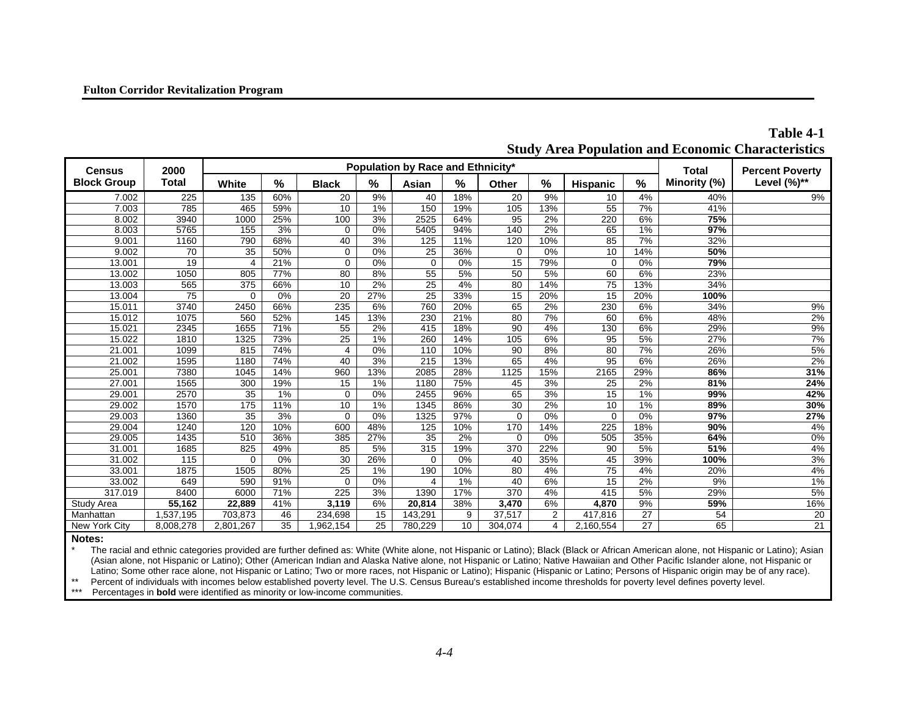| <b>Census</b>      | 2000<br><b>Total</b> | <b>Population by Race and Ethnicity*</b> |     |              |      |                 |      |          |     |           |                  | <b>Total</b> | <b>Percent Poverty</b> |
|--------------------|----------------------|------------------------------------------|-----|--------------|------|-----------------|------|----------|-----|-----------|------------------|--------------|------------------------|
| <b>Block Group</b> |                      | White                                    | %   | <b>Black</b> | $\%$ | Asian           | $\%$ | Other    | %   | Hispanic  | $\%$             | Minority (%) | Level $(\%)^{**}$      |
| 7.002              | 225                  | 135                                      | 60% | 20           | 9%   | 40              | 18%  | 20       | 9%  | 10        | 4%               | 40%          | 9%                     |
| 7.003              | 785                  | 465                                      | 59% | 10           | 1%   | 150             | 19%  | 105      | 13% | 55        | $\overline{7\%}$ | 41%          |                        |
| 8.002              | 3940                 | 1000                                     | 25% | 100          | 3%   | 2525            | 64%  | 95       | 2%  | 220       | 6%               | 75%          |                        |
| 8.003              | 5765                 | 155                                      | 3%  | 0            | 0%   | 5405            | 94%  | 140      | 2%  | 65        | 1%               | 97%          |                        |
| 9.001              | 1160                 | 790                                      | 68% | 40           | 3%   | 125             | 11%  | 120      | 10% | 85        | 7%               | 32%          |                        |
| 9.002              | 70                   | $\overline{35}$                          | 50% | $\Omega$     | 0%   | 25              | 36%  | $\Omega$ | 0%  | 10        | 14%              | 50%          |                        |
| 13.001             | 19                   | 4                                        | 21% | 0            | 0%   | $\mathbf 0$     | 0%   | 15       | 79% | 0         | 0%               | 79%          |                        |
| 13.002             | 1050                 | 805                                      | 77% | 80           | 8%   | 55              | 5%   | 50       | 5%  | 60        | 6%               | 23%          |                        |
| 13.003             | 565                  | 375                                      | 66% | 10           | 2%   | $\overline{25}$ | 4%   | 80       | 14% | 75        | 13%              | 34%          |                        |
| 13.004             | 75                   | $\Omega$                                 | 0%  | 20           | 27%  | 25              | 33%  | 15       | 20% | 15        | 20%              | 100%         |                        |
| 15.011             | 3740                 | 2450                                     | 66% | 235          | 6%   | 760             | 20%  | 65       | 2%  | 230       | 6%               | 34%          | 9%                     |
| 15.012             | 1075                 | 560                                      | 52% | 145          | 13%  | 230             | 21%  | 80       | 7%  | 60        | 6%               | 48%          | 2%                     |
| 15.021             | 2345                 | 1655                                     | 71% | 55           | 2%   | 415             | 18%  | 90       | 4%  | 130       | 6%               | 29%          | 9%                     |
| 15.022             | 1810                 | 1325                                     | 73% | 25           | 1%   | 260             | 14%  | 105      | 6%  | 95        | 5%               | 27%          | 7%                     |
| 21.001             | 1099                 | 815                                      | 74% | 4            | 0%   | 110             | 10%  | 90       | 8%  | 80        | 7%               | 26%          | 5%                     |
| 21.002             | 1595                 | 1180                                     | 74% | 40           | 3%   | 215             | 13%  | 65       | 4%  | 95        | 6%               | 26%          | 2%                     |
| 25.001             | 7380                 | 1045                                     | 14% | 960          | 13%  | 2085            | 28%  | 1125     | 15% | 2165      | 29%              | 86%          | 31%                    |
| 27.001             | 1565                 | 300                                      | 19% | 15           | 1%   | 1180            | 75%  | 45       | 3%  | 25        | 2%               | 81%          | 24%                    |
| 29.001             | 2570                 | 35                                       | 1%  | $\Omega$     | 0%   | 2455            | 96%  | 65       | 3%  | 15        | 1%               | 99%          | 42%                    |
| 29.002             | 1570                 | 175                                      | 11% | 10           | 1%   | 1345            | 86%  | 30       | 2%  | 10        | 1%               | 89%          | 30%                    |
| 29.003             | 1360                 | 35                                       | 3%  | $\Omega$     | 0%   | 1325            | 97%  | $\Omega$ | 0%  | $\Omega$  | 0%               | 97%          | 27%                    |
| 29.004             | 1240                 | 120                                      | 10% | 600          | 48%  | 125             | 10%  | 170      | 14% | 225       | 18%              | 90%          | 4%                     |
| 29.005             | 1435                 | 510                                      | 36% | 385          | 27%  | 35              | 2%   | $\Omega$ | 0%  | 505       | 35%              | 64%          | 0%                     |
| 31.001             | 1685                 | 825                                      | 49% | 85           | 5%   | 315             | 19%  | 370      | 22% | 90        | 5%               | 51%          | 4%                     |
| 31.002             | 115                  | $\Omega$                                 | 0%  | 30           | 26%  | $\Omega$        | 0%   | 40       | 35% | 45        | 39%              | 100%         | 3%                     |
| 33.001             | 1875                 | 1505                                     | 80% | 25           | 1%   | 190             | 10%  | 80       | 4%  | 75        | 4%               | 20%          | 4%                     |
| 33.002             | 649                  | 590                                      | 91% | $\Omega$     | 0%   | 4               | 1%   | 40       | 6%  | 15        | 2%               | 9%           | 1%                     |
| 317.019            | 8400                 | 6000                                     | 71% | 225          | 3%   | 1390            | 17%  | 370      | 4%  | 415       | 5%               | 29%          | 5%                     |
| Study Area         | 55,162               | 22,889                                   | 41% | 3,119        | 6%   | 20,814          | 38%  | 3,470    | 6%  | 4,870     | 9%               | 59%          | 16%                    |
| Manhattan          | 1,537,195            | 703,873                                  | 46  | 234,698      | 15   | 143,291         | 9    | 37,517   | 2   | 417,816   | 27               | 54           | $\overline{20}$        |
| New York City      | 8,008,278            | 2,801,267                                | 35  | ,962,154     | 25   | 780,229         | 10   | 304,074  | 4   | 2,160,554 | $\overline{27}$  | 65           | 21                     |

**Table 4-1 Study Area Population and Economic Characteristics**

#### **Notes:**

The racial and ethnic categories provided are further defined as: White (White alone, not Hispanic or Latino); Black (Black or African American alone, not Hispanic or Latino); Asian (Asian alone, not Hispanic or Latino); Other (American Indian and Alaska Native alone, not Hispanic or Latino; Native Hawaiian and Other Pacific Islander alone, not Hispanic or Latino; Some other race alone, not Hispanic or Latino; Two or more races, not Hispanic or Latino); Hispanic or Latino; Persons of Hispanic origin may be of any race).

\*\* Percent of individuals with incomes below established poverty level. The U.S. Census Bureau's established income thresholds for poverty level defines poverty level.<br>\*\*\* Percentages in **hold** were identified as minority

Percentages in **bold** were identified as minority or low-income communities.